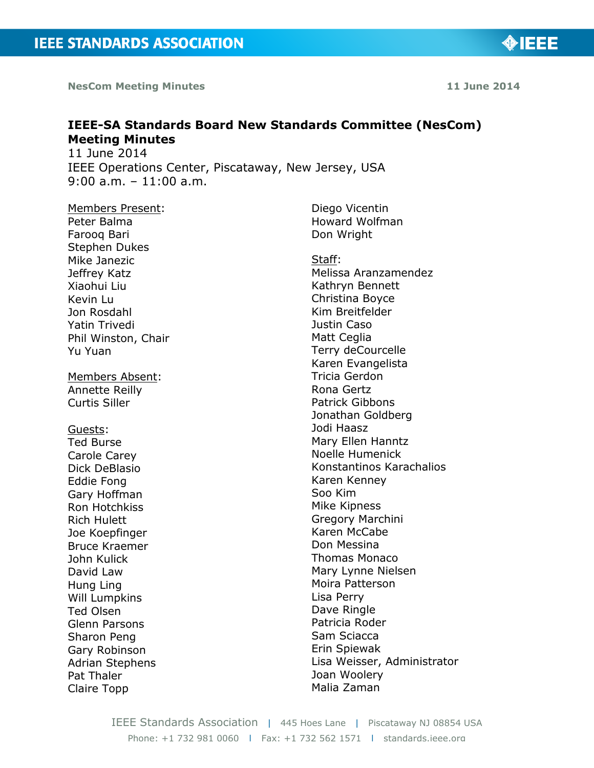**NesCom Meeting Minutes 11 June 2014**

# **IEEE-SA Standards Board New Standards Committee (NesCom) Meeting Minutes** 11 June 2014 IEEE Operations Center, Piscataway, New Jersey, USA

9:00 a.m. – 11:00 a.m.

Members Present: Peter Balma Farooq Bari Stephen Dukes Mike Janezic Jeffrey Katz Xiaohui Liu Kevin Lu Jon Rosdahl Yatin Trivedi Phil Winston, Chair Yu Yuan

Members Absent: Annette Reilly Curtis Siller

Guests:

Ted Burse Carole Carey Dick DeBlasio Eddie Fong Gary Hoffman Ron Hotchkiss Rich Hulett Joe Koepfinger Bruce Kraemer John Kulick David Law Hung Ling Will Lumpkins Ted Olsen Glenn Parsons Sharon Peng Gary Robinson Adrian Stephens Pat Thaler Claire Topp

Diego Vicentin Howard Wolfman Don Wright

Staff: Melissa Aranzamendez Kathryn Bennett Christina Boyce Kim Breitfelder Justin Caso Matt Ceglia Terry deCourcelle Karen Evangelista Tricia Gerdon Rona Gertz Patrick Gibbons Jonathan Goldberg Jodi Haasz Mary Ellen Hanntz Noelle Humenick Konstantinos Karachalios Karen Kenney Soo Kim Mike Kipness Gregory Marchini Karen McCabe Don Messina Thomas Monaco Mary Lynne Nielsen Moira Patterson Lisa Perry Dave Ringle Patricia Roder Sam Sciacca Erin Spiewak Lisa Weisser, Administrator Joan Woolery Malia Zaman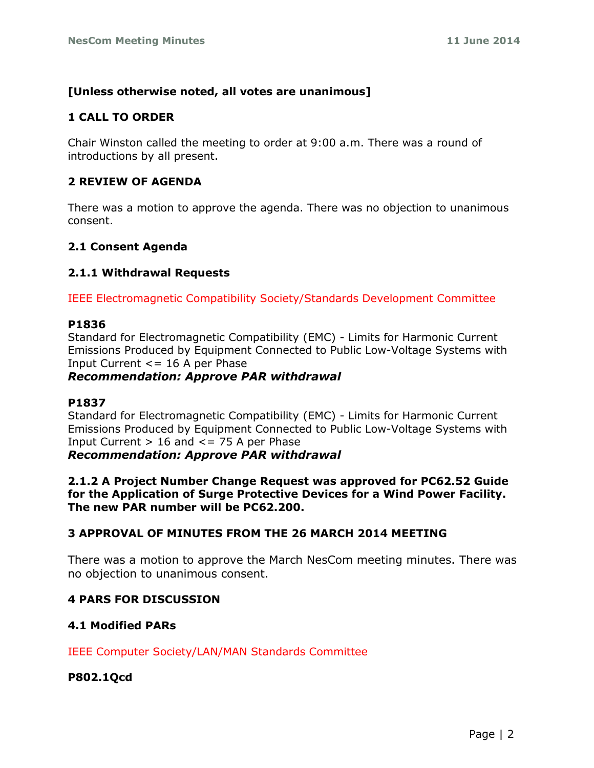# **[Unless otherwise noted, all votes are unanimous]**

# **1 CALL TO ORDER**

Chair Winston called the meeting to order at 9:00 a.m. There was a round of introductions by all present.

## **2 REVIEW OF AGENDA**

There was a motion to approve the agenda. There was no objection to unanimous consent.

## **2.1 Consent Agenda**

## **2.1.1 Withdrawal Requests**

IEEE Electromagnetic Compatibility Society/Standards Development Committee

## **P1836**

Standard for Electromagnetic Compatibility (EMC) - Limits for Harmonic Current Emissions Produced by Equipment Connected to Public Low-Voltage Systems with Input Current  $\leq$  16 A per Phase

## *Recommendation: Approve PAR withdrawal*

## **P1837**

Standard for Electromagnetic Compatibility (EMC) - Limits for Harmonic Current Emissions Produced by Equipment Connected to Public Low-Voltage Systems with Input Current  $> 16$  and  $\leq$  = 75 A per Phase *Recommendation: Approve PAR withdrawal*

**2.1.2 A Project Number Change Request was approved for PC62.52 Guide for the Application of Surge Protective Devices for a Wind Power Facility. The new PAR number will be PC62.200.**

# **3 APPROVAL OF MINUTES FROM THE 26 MARCH 2014 MEETING**

There was a motion to approve the March NesCom meeting minutes. There was no objection to unanimous consent.

# **4 PARS FOR DISCUSSION**

# **4.1 Modified PARs**

IEEE Computer Society/LAN/MAN Standards Committee

**P802.1Qcd**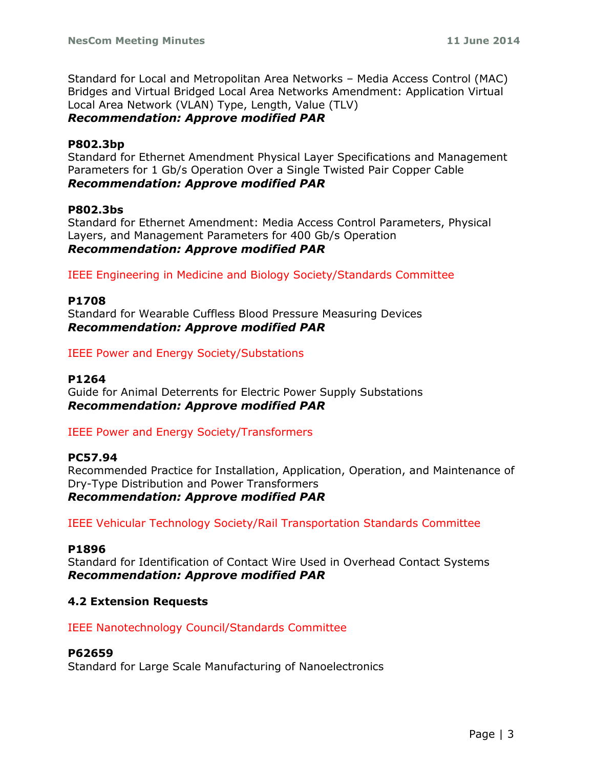Standard for Local and Metropolitan Area Networks – Media Access Control (MAC) Bridges and Virtual Bridged Local Area Networks Amendment: Application Virtual Local Area Network (VLAN) Type, Length, Value (TLV) *Recommendation: Approve modified PAR*

### **P802.3bp**

Standard for Ethernet Amendment Physical Layer Specifications and Management Parameters for 1 Gb/s Operation Over a Single Twisted Pair Copper Cable *Recommendation: Approve modified PAR*

#### **P802.3bs**

Standard for Ethernet Amendment: Media Access Control Parameters, Physical Layers, and Management Parameters for 400 Gb/s Operation *Recommendation: Approve modified PAR*

IEEE Engineering in Medicine and Biology Society/Standards Committee

#### **P1708**

Standard for Wearable Cuffless Blood Pressure Measuring Devices *Recommendation: Approve modified PAR*

IEEE Power and Energy Society/Substations

#### **P1264**

Guide for Animal Deterrents for Electric Power Supply Substations *Recommendation: Approve modified PAR*

## IEEE Power and Energy Society/Transformers

# **PC57.94**

Recommended Practice for Installation, Application, Operation, and Maintenance of Dry-Type Distribution and Power Transformers *Recommendation: Approve modified PAR*

IEEE Vehicular Technology Society/Rail Transportation Standards Committee

#### **P1896**

Standard for Identification of Contact Wire Used in Overhead Contact Systems *Recommendation: Approve modified PAR*

## **4.2 Extension Requests**

IEEE Nanotechnology Council/Standards Committee

#### **P62659**

Standard for Large Scale Manufacturing of Nanoelectronics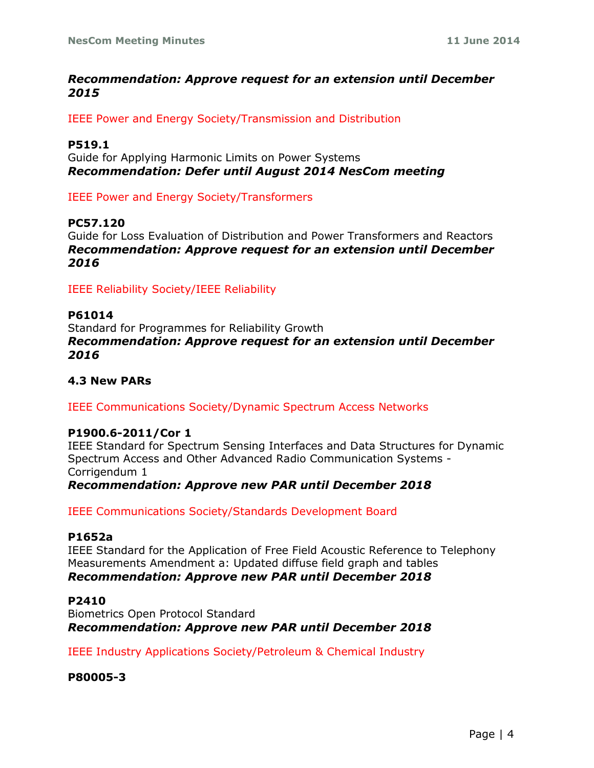## *Recommendation: Approve request for an extension until December 2015*

IEEE Power and Energy Society/Transmission and Distribution

### **P519.1**

Guide for Applying Harmonic Limits on Power Systems *Recommendation: Defer until August 2014 NesCom meeting*

IEEE Power and Energy Society/Transformers

## **PC57.120**

Guide for Loss Evaluation of Distribution and Power Transformers and Reactors *Recommendation: Approve request for an extension until December 2016*

IEEE Reliability Society/IEEE Reliability

## **P61014**

Standard for Programmes for Reliability Growth *Recommendation: Approve request for an extension until December 2016*

## **4.3 New PARs**

## IEEE Communications Society/Dynamic Spectrum Access Networks

## **P1900.6-2011/Cor 1**

IEEE Standard for Spectrum Sensing Interfaces and Data Structures for Dynamic Spectrum Access and Other Advanced Radio Communication Systems - Corrigendum 1 *Recommendation: Approve new PAR until December 2018*

IEEE Communications Society/Standards Development Board

## **P1652a**

IEEE Standard for the Application of Free Field Acoustic Reference to Telephony Measurements Amendment a: Updated diffuse field graph and tables *Recommendation: Approve new PAR until December 2018*

## **P2410**

Biometrics Open Protocol Standard *Recommendation: Approve new PAR until December 2018*

IEEE Industry Applications Society/Petroleum & Chemical Industry

**P80005-3**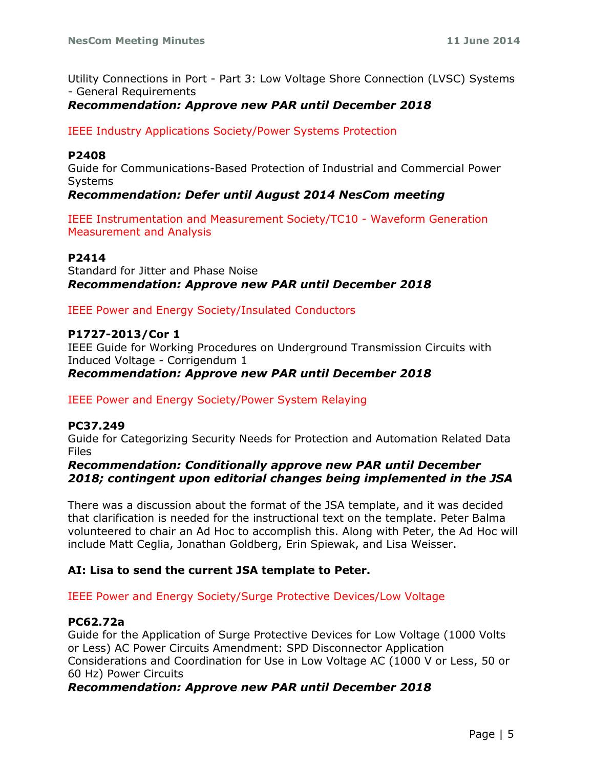Utility Connections in Port - Part 3: Low Voltage Shore Connection (LVSC) Systems - General Requirements

# *Recommendation: Approve new PAR until December 2018*

## IEEE Industry Applications Society/Power Systems Protection

#### **P2408**

Guide for Communications-Based Protection of Industrial and Commercial Power Systems

## *Recommendation: Defer until August 2014 NesCom meeting*

IEEE Instrumentation and Measurement Society/TC10 - Waveform Generation Measurement and Analysis

#### **P2414**

Standard for Jitter and Phase Noise *Recommendation: Approve new PAR until December 2018*

## IEEE Power and Energy Society/Insulated Conductors

#### **P1727-2013/Cor 1**

IEEE Guide for Working Procedures on Underground Transmission Circuits with Induced Voltage - Corrigendum 1 *Recommendation: Approve new PAR until December 2018*

## IEEE Power and Energy Society/Power System Relaying

#### **PC37.249**

Guide for Categorizing Security Needs for Protection and Automation Related Data Files

## *Recommendation: Conditionally approve new PAR until December 2018; contingent upon editorial changes being implemented in the JSA*

There was a discussion about the format of the JSA template, and it was decided that clarification is needed for the instructional text on the template. Peter Balma volunteered to chair an Ad Hoc to accomplish this. Along with Peter, the Ad Hoc will include Matt Ceglia, Jonathan Goldberg, Erin Spiewak, and Lisa Weisser.

## **AI: Lisa to send the current JSA template to Peter.**

IEEE Power and Energy Society/Surge Protective Devices/Low Voltage

## **PC62.72a**

Guide for the Application of Surge Protective Devices for Low Voltage (1000 Volts or Less) AC Power Circuits Amendment: SPD Disconnector Application Considerations and Coordination for Use in Low Voltage AC (1000 V or Less, 50 or 60 Hz) Power Circuits

## *Recommendation: Approve new PAR until December 2018*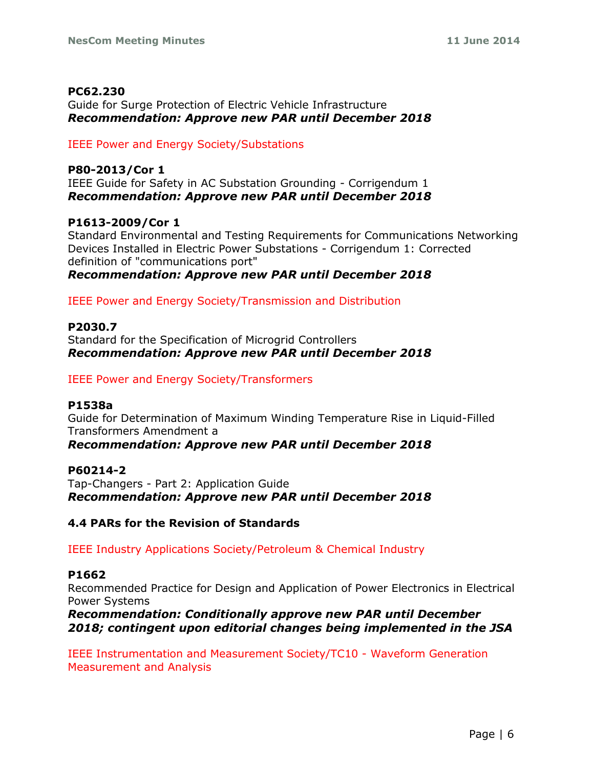## **PC62.230**

Guide for Surge Protection of Electric Vehicle Infrastructure *Recommendation: Approve new PAR until December 2018*

IEEE Power and Energy Society/Substations

# **P80-2013/Cor 1**

IEEE Guide for Safety in AC Substation Grounding - Corrigendum 1 *Recommendation: Approve new PAR until December 2018*

## **P1613-2009/Cor 1**

Standard Environmental and Testing Requirements for Communications Networking Devices Installed in Electric Power Substations - Corrigendum 1: Corrected definition of "communications port"

*Recommendation: Approve new PAR until December 2018*

IEEE Power and Energy Society/Transmission and Distribution

## **P2030.7**

Standard for the Specification of Microgrid Controllers *Recommendation: Approve new PAR until December 2018*

# IEEE Power and Energy Society/Transformers

## **P1538a**

Guide for Determination of Maximum Winding Temperature Rise in Liquid-Filled Transformers Amendment a

# *Recommendation: Approve new PAR until December 2018*

## **P60214-2**

Tap-Changers - Part 2: Application Guide *Recommendation: Approve new PAR until December 2018*

# **4.4 PARs for the Revision of Standards**

IEEE Industry Applications Society/Petroleum & Chemical Industry

## **P1662**

Recommended Practice for Design and Application of Power Electronics in Electrical Power Systems

*Recommendation: Conditionally approve new PAR until December 2018; contingent upon editorial changes being implemented in the JSA*

IEEE Instrumentation and Measurement Society/TC10 - Waveform Generation Measurement and Analysis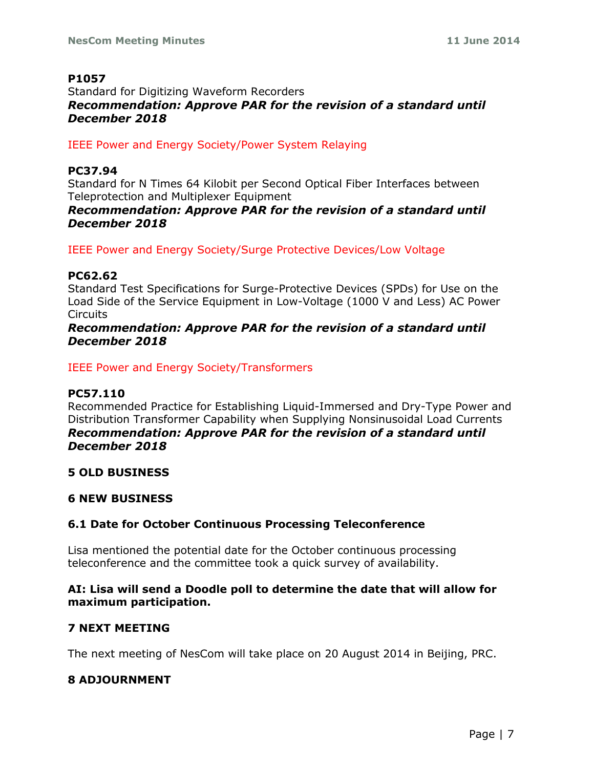## **P1057**

# Standard for Digitizing Waveform Recorders *Recommendation: Approve PAR for the revision of a standard until December 2018*

IEEE Power and Energy Society/Power System Relaying

## **PC37.94**

Standard for N Times 64 Kilobit per Second Optical Fiber Interfaces between Teleprotection and Multiplexer Equipment

## *Recommendation: Approve PAR for the revision of a standard until December 2018*

IEEE Power and Energy Society/Surge Protective Devices/Low Voltage

## **PC62.62**

Standard Test Specifications for Surge-Protective Devices (SPDs) for Use on the Load Side of the Service Equipment in Low-Voltage (1000 V and Less) AC Power Circuits

# *Recommendation: Approve PAR for the revision of a standard until December 2018*

IEEE Power and Energy Society/Transformers

## **PC57.110**

Recommended Practice for Establishing Liquid-Immersed and Dry-Type Power and Distribution Transformer Capability when Supplying Nonsinusoidal Load Currents *Recommendation: Approve PAR for the revision of a standard until December 2018*

# **5 OLD BUSINESS**

## **6 NEW BUSINESS**

# **6.1 Date for October Continuous Processing Teleconference**

Lisa mentioned the potential date for the October continuous processing teleconference and the committee took a quick survey of availability.

## **AI: Lisa will send a Doodle poll to determine the date that will allow for maximum participation.**

# **7 NEXT MEETING**

The next meeting of NesCom will take place on 20 August 2014 in Beijing, PRC.

# **8 ADJOURNMENT**